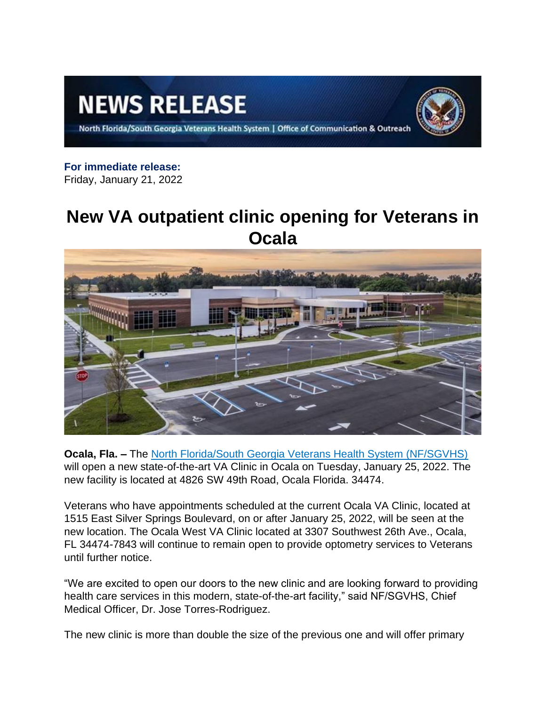# **NEWS RELEASE**



North Florida/South Georgia Veterans Health System | Office of Communication & Outreach

### **For immediate release:**

Friday, January 21, 2022

## **New VA outpatient clinic opening for Veterans in Ocala**



**Ocala, Fla. –** The [North Florida/South Georgia Veterans Health System \(NF/SGVHS\)](https://www.va.gov/north-florida-health-care/) will open a new state-of-the-art VA Clinic in Ocala on Tuesday, January 25, 2022. The new facility is located at 4826 SW 49th Road, Ocala Florida. 34474.

Veterans who have appointments scheduled at the current Ocala VA Clinic, located at 1515 East Silver Springs Boulevard, on or after January 25, 2022, will be seen at the new location. The Ocala West VA Clinic located at 3307 Southwest 26th Ave., Ocala, FL 34474-7843 will continue to remain open to provide optometry services to Veterans until further notice.

"We are excited to open our doors to the new clinic and are looking forward to providing health care services in this modern, state-of-the-art facility," said NF/SGVHS, Chief Medical Officer, Dr. Jose Torres-Rodriguez.

The new clinic is more than double the size of the previous one and will offer primary